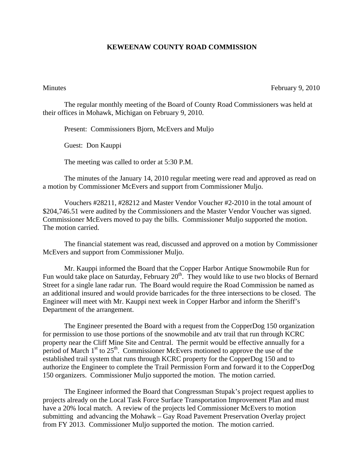## **KEWEENAW COUNTY ROAD COMMISSION**

Minutes February 9, 2010

The regular monthly meeting of the Board of County Road Commissioners was held at their offices in Mohawk, Michigan on February 9, 2010.

Present: Commissioners Bjorn, McEvers and Muljo

Guest: Don Kauppi

The meeting was called to order at 5:30 P.M.

 The minutes of the January 14, 2010 regular meeting were read and approved as read on a motion by Commissioner McEvers and support from Commissioner Muljo.

 Vouchers #28211, #28212 and Master Vendor Voucher #2-2010 in the total amount of \$204,746.51 were audited by the Commissioners and the Master Vendor Voucher was signed. Commissioner McEvers moved to pay the bills. Commissioner Muljo supported the motion. The motion carried.

 The financial statement was read, discussed and approved on a motion by Commissioner McEvers and support from Commissioner Muljo.

 Mr. Kauppi informed the Board that the Copper Harbor Antique Snowmobile Run for Fun would take place on Saturday, February  $20<sup>th</sup>$ . They would like to use two blocks of Bernard Street for a single lane radar run. The Board would require the Road Commission be named as an additional insured and would provide barricades for the three intersections to be closed. The Engineer will meet with Mr. Kauppi next week in Copper Harbor and inform the Sheriff's Department of the arrangement.

 The Engineer presented the Board with a request from the CopperDog 150 organization for permission to use those portions of the snowmobile and atv trail that run through KCRC property near the Cliff Mine Site and Central. The permit would be effective annually for a period of March  $1<sup>st</sup>$  to  $25<sup>th</sup>$ . Commissioner McEvers motioned to approve the use of the established trail system that runs through KCRC property for the CopperDog 150 and to authorize the Engineer to complete the Trail Permission Form and forward it to the CopperDog 150 organizers. Commissioner Muljo supported the motion. The motion carried.

 The Engineer informed the Board that Congressman Stupak's project request applies to projects already on the Local Task Force Surface Transportation Improvement Plan and must have a 20% local match. A review of the projects led Commissioner McEvers to motion submitting and advancing the Mohawk – Gay Road Pavement Preservation Overlay project from FY 2013. Commissioner Muljo supported the motion. The motion carried.